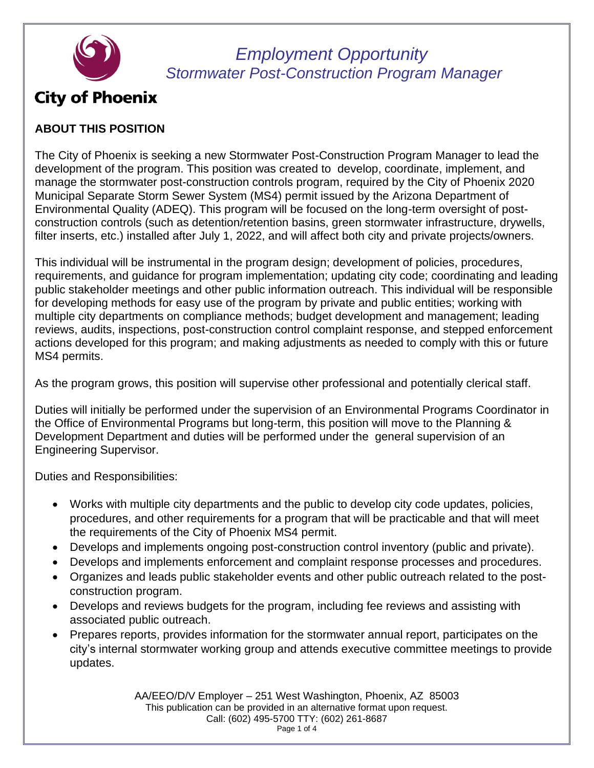

# **City of Phoenix**

### **ABOUT THIS POSITION**

The City of Phoenix is seeking a new Stormwater Post-Construction Program Manager to lead the development of the program. This position was created to develop, coordinate, implement, and manage the stormwater post-construction controls program, required by the City of Phoenix 2020 Municipal Separate Storm Sewer System (MS4) permit issued by the Arizona Department of Environmental Quality (ADEQ). This program will be focused on the long-term oversight of postconstruction controls (such as detention/retention basins, green stormwater infrastructure, drywells, filter inserts, etc.) installed after July 1, 2022, and will affect both city and private projects/owners.

This individual will be instrumental in the program design; development of policies, procedures, requirements, and guidance for program implementation; updating city code; coordinating and leading public stakeholder meetings and other public information outreach. This individual will be responsible for developing methods for easy use of the program by private and public entities; working with multiple city departments on compliance methods; budget development and management; leading reviews, audits, inspections, post-construction control complaint response, and stepped enforcement actions developed for this program; and making adjustments as needed to comply with this or future MS4 permits.

As the program grows, this position will supervise other professional and potentially clerical staff.

Duties will initially be performed under the supervision of an Environmental Programs Coordinator in the Office of Environmental Programs but long-term, this position will move to the Planning & Development Department and duties will be performed under the general supervision of an Engineering Supervisor.

Duties and Responsibilities:

- Works with multiple city departments and the public to develop city code updates, policies, procedures, and other requirements for a program that will be practicable and that will meet the requirements of the City of Phoenix MS4 permit.
- Develops and implements ongoing post-construction control inventory (public and private).
- Develops and implements enforcement and complaint response processes and procedures.
- Organizes and leads public stakeholder events and other public outreach related to the postconstruction program.
- Develops and reviews budgets for the program, including fee reviews and assisting with associated public outreach.
- Prepares reports, provides information for the stormwater annual report, participates on the city's internal stormwater working group and attends executive committee meetings to provide updates.

AA/EEO/D/V Employer – 251 West Washington, Phoenix, AZ 85003 This publication can be provided in an alternative format upon request. Call: (602) 495-5700 TTY: (602) 261-8687 Page 1 of 4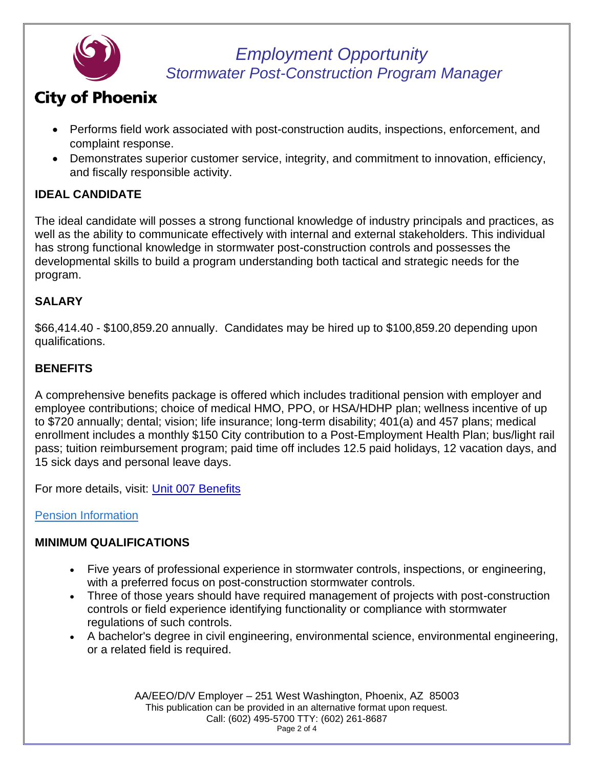

# **City of Phoenix**

- Performs field work associated with post-construction audits, inspections, enforcement, and complaint response.
- Demonstrates superior customer service, integrity, and commitment to innovation, efficiency, and fiscally responsible activity.

### **IDEAL CANDIDATE**

The ideal candidate will posses a strong functional knowledge of industry principals and practices, as well as the ability to communicate effectively with internal and external stakeholders. This individual has strong functional knowledge in stormwater post-construction controls and possesses the developmental skills to build a program understanding both tactical and strategic needs for the program.

### **SALARY**

\$66,414.40 - \$100,859.20 annually. Candidates may be hired up to \$100,859.20 depending upon qualifications.

### **BENEFITS**

A comprehensive benefits package is offered which includes traditional pension with employer and employee contributions; choice of medical HMO, PPO, or HSA/HDHP plan; wellness incentive of up to \$720 annually; dental; vision; life insurance; long-term disability; 401(a) and 457 plans; medical enrollment includes a monthly \$150 City contribution to a Post-Employment Health Plan; bus/light rail pass; tuition reimbursement program; paid time off includes 12.5 paid holidays, 12 vacation days, and 15 sick days and personal leave days.

For more details, visit: [Unit 007 Benefits](https://www.phoenix.gov/hrsite/Benefit%20Category/007.pdf)

### [Pension Information](https://www.phoenix.gov/hrsite/Documents/Talent-Acquisition/Pension%20Information%203.15.2021.pdf)

### **MINIMUM QUALIFICATIONS**

- Five years of professional experience in stormwater controls, inspections, or engineering, with a preferred focus on post-construction stormwater controls.
- Three of those years should have required management of projects with post-construction controls or field experience identifying functionality or compliance with stormwater regulations of such controls.
- A bachelor's degree in civil engineering, environmental science, environmental engineering, or a related field is required.

AA/EEO/D/V Employer – 251 West Washington, Phoenix, AZ 85003 This publication can be provided in an alternative format upon request. Call: (602) 495-5700 TTY: (602) 261-8687 Page 2 of 4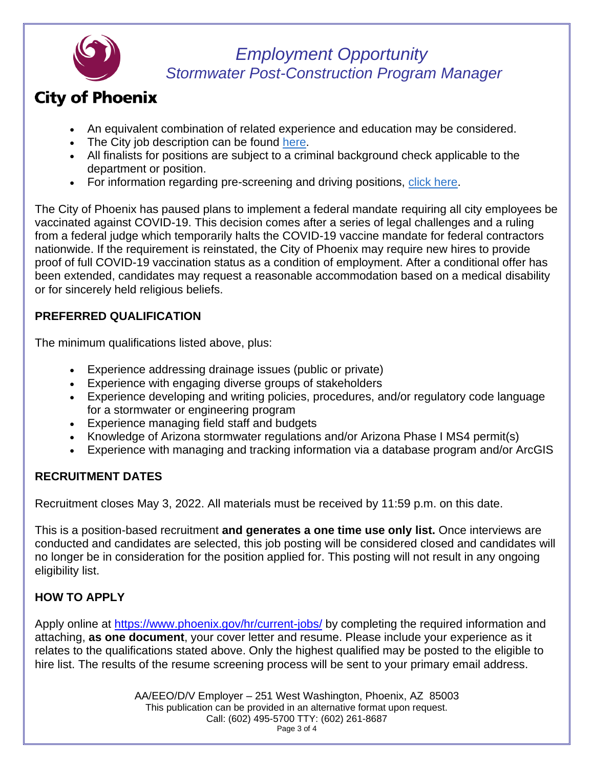

# **City of Phoenix**

- An equivalent combination of related experience and education may be considered.
- The City job description can be found [here.](https://www.phoenix.gov/hrsite/JobDescriptions/08750.pdf)
- All finalists for positions are subject to a criminal background check applicable to the department or position.
- For information regarding pre-screening and driving positions, [click here.](https://www.phoenix.gov/hrsite/Documents/Talent-Acquisition/Pre-Employment%20Information%203.15.2021.pdf)

The City of Phoenix has paused plans to implement a federal mandate requiring all city employees be vaccinated against COVID-19. This decision comes after a series of legal challenges and a ruling from a federal judge which temporarily halts the COVID-19 vaccine mandate for federal contractors nationwide. If the requirement is reinstated, the City of Phoenix may require new hires to provide proof of full COVID-19 vaccination status as a condition of employment. After a conditional offer has been extended, candidates may request a reasonable accommodation based on a medical disability or for sincerely held religious beliefs.

### **PREFERRED QUALIFICATION**

The minimum qualifications listed above, plus:

- Experience addressing drainage issues (public or private)
- Experience with engaging diverse groups of stakeholders
- Experience developing and writing policies, procedures, and/or regulatory code language for a stormwater or engineering program
- Experience managing field staff and budgets
- Knowledge of Arizona stormwater regulations and/or Arizona Phase I MS4 permit(s)
- Experience with managing and tracking information via a database program and/or ArcGIS

## **RECRUITMENT DATES**

Recruitment closes May 3, 2022. All materials must be received by 11:59 p.m. on this date.

This is a position-based recruitment **and generates a one time use only list.** Once interviews are conducted and candidates are selected, this job posting will be considered closed and candidates will no longer be in consideration for the position applied for. This posting will not result in any ongoing eligibility list.

## **HOW TO APPLY**

Apply online at<https://www.phoenix.gov/hr/current-jobs/> by completing the required information and attaching, **as one document**, your cover letter and resume. Please include your experience as it relates to the qualifications stated above. Only the highest qualified may be posted to the eligible to hire list. The results of the resume screening process will be sent to your primary email address.

> AA/EEO/D/V Employer – 251 West Washington, Phoenix, AZ 85003 This publication can be provided in an alternative format upon request. Call: (602) 495-5700 TTY: (602) 261-8687 Page 3 of 4